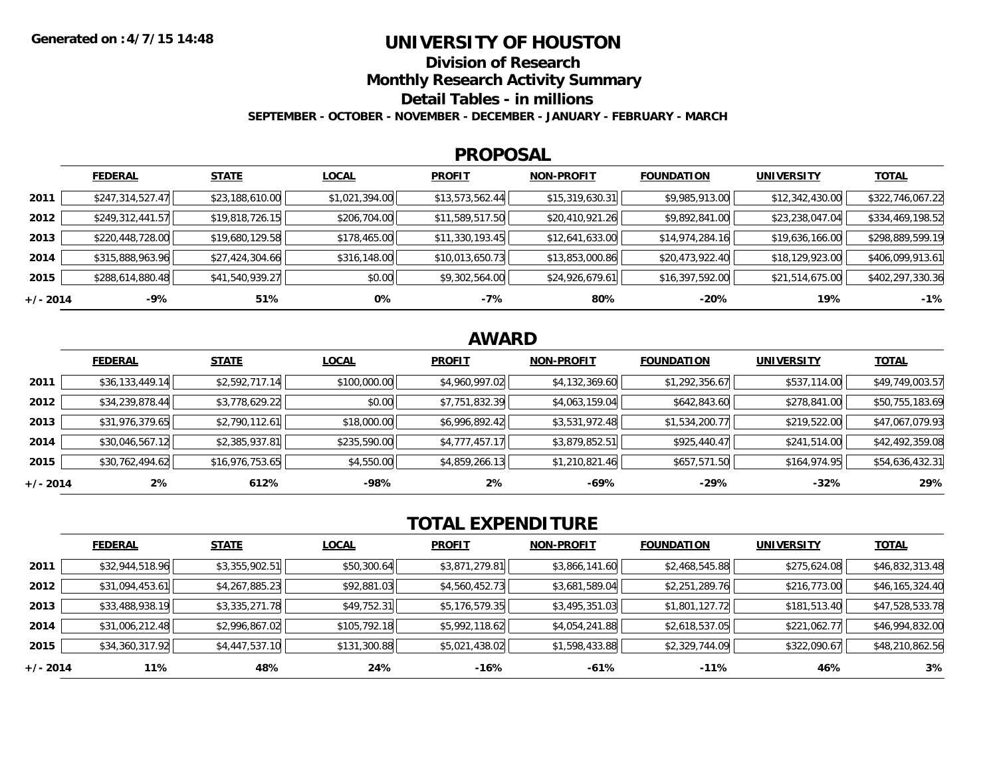## **UNIVERSITY OF HOUSTON**

**Division of Research**

**Monthly Research Activity Summary**

**Detail Tables - in millions**

**SEPTEMBER - OCTOBER - NOVEMBER - DECEMBER - JANUARY - FEBRUARY - MARCH**

#### **PROPOSAL**

|            | <b>FEDERAL</b>   | <b>STATE</b>    | <b>LOCAL</b>   | <b>PROFIT</b>   | <b>NON-PROFIT</b> | <b>FOUNDATION</b> | <b>UNIVERSITY</b> | <b>TOTAL</b>     |
|------------|------------------|-----------------|----------------|-----------------|-------------------|-------------------|-------------------|------------------|
| 2011       | \$247,314,527.47 | \$23,188,610.00 | \$1,021,394.00 | \$13,573,562.44 | \$15,319,630.31   | \$9,985,913.00    | \$12,342,430.00   | \$322,746,067.22 |
| 2012       | \$249,312,441.57 | \$19,818,726.15 | \$206,704.00   | \$11,589,517.50 | \$20,410,921.26   | \$9,892,841.00    | \$23,238,047.04   | \$334,469,198.52 |
| 2013       | \$220,448,728.00 | \$19,680,129.58 | \$178,465.00   | \$11,330,193.45 | \$12,641,633.00   | \$14,974,284.16   | \$19,636,166.00   | \$298,889,599.19 |
| 2014       | \$315,888,963.96 | \$27,424,304.66 | \$316,148.00   | \$10,013,650.73 | \$13,853,000.86   | \$20,473,922.40   | \$18,129,923.00   | \$406,099,913.61 |
| 2015       | \$288,614,880.48 | \$41,540,939.27 | \$0.00         | \$9,302,564.00  | \$24,926,679.61   | \$16,397,592.00   | \$21,514,675.00   | \$402,297,330.36 |
| $+/- 2014$ | -9%              | 51%             | 0%             | -7%             | 80%               | $-20%$            | 19%               | $-1%$            |

# **AWARD**

|            | <b>FEDERAL</b>  | <b>STATE</b>    | <b>LOCAL</b> | <b>PROFIT</b>  | <b>NON-PROFIT</b> | <b>FOUNDATION</b> | <b>UNIVERSITY</b> | <b>TOTAL</b>    |
|------------|-----------------|-----------------|--------------|----------------|-------------------|-------------------|-------------------|-----------------|
| 2011       | \$36,133,449.14 | \$2,592,717.14  | \$100,000.00 | \$4,960,997.02 | \$4,132,369.60    | \$1,292,356.67    | \$537,114.00      | \$49,749,003.57 |
| 2012       | \$34,239,878.44 | \$3,778,629.22  | \$0.00       | \$7,751,832.39 | \$4,063,159.04    | \$642,843.60      | \$278,841.00      | \$50,755,183.69 |
| 2013       | \$31,976,379.65 | \$2,790,112.61  | \$18,000.00  | \$6,996,892.42 | \$3,531,972.48    | \$1,534,200.77    | \$219,522.00      | \$47,067,079.93 |
| 2014       | \$30,046,567.12 | \$2,385,937.81  | \$235,590.00 | \$4,777,457.17 | \$3,879,852.51    | \$925,440.47      | \$241,514.00      | \$42,492,359.08 |
| 2015       | \$30,762,494.62 | \$16,976,753.65 | \$4,550.00   | \$4,859,266.13 | \$1,210,821.46    | \$657,571.50      | \$164,974.95      | \$54,636,432.31 |
| $+/- 2014$ | 2%              | 612%            | $-98%$       | 2%             | -69%              | -29%              | $-32%$            | 29%             |

# **TOTAL EXPENDITURE**

|            | <b>FEDERAL</b>  | <b>STATE</b>   | <b>LOCAL</b> | <b>PROFIT</b>  | <b>NON-PROFIT</b> | <b>FOUNDATION</b> | <b>UNIVERSITY</b> | <b>TOTAL</b>    |
|------------|-----------------|----------------|--------------|----------------|-------------------|-------------------|-------------------|-----------------|
| 2011       | \$32,944,518.96 | \$3,355,902.51 | \$50,300.64  | \$3,871,279.81 | \$3,866,141.60    | \$2,468,545.88    | \$275,624.08      | \$46,832,313.48 |
| 2012       | \$31,094,453.61 | \$4,267,885.23 | \$92,881.03  | \$4,560,452.73 | \$3,681,589.04    | \$2,251,289.76    | \$216,773.00      | \$46,165,324.40 |
| 2013       | \$33,488,938.19 | \$3,335,271.78 | \$49,752.31  | \$5,176,579.35 | \$3,495,351.03    | \$1,801,127.72    | \$181,513.40      | \$47,528,533.78 |
| 2014       | \$31,006,212.48 | \$2,996,867.02 | \$105,792.18 | \$5,992,118.62 | \$4,054,241.88    | \$2,618,537.05    | \$221,062.77      | \$46,994,832.00 |
| 2015       | \$34,360,317.92 | \$4,447,537.10 | \$131,300.88 | \$5,021,438.02 | \$1,598,433.88    | \$2,329,744.09    | \$322,090.67      | \$48,210,862.56 |
| $+/- 2014$ | 11%             | 48%            | 24%          | $-16%$         | -61%              | $-11%$            | 46%               | 3%              |